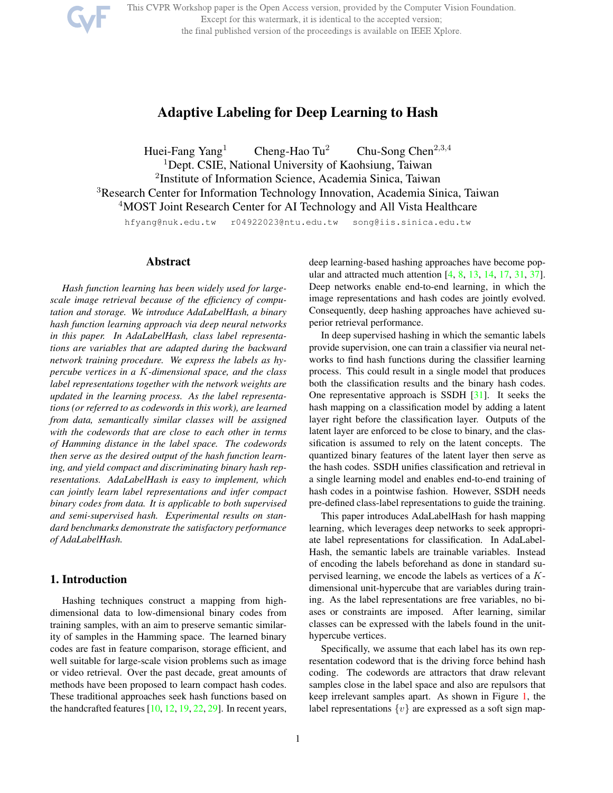This CVPR Workshop paper is the Open Access version, provided by the Computer Vision Foundation.

Except for this watermark, it is identical to the accepted version;

the final published version of the proceedings is available on IEEE Xplore.



# Adaptive Labeling for Deep Learning to Hash

Huei-Fang Yang<sup>1</sup> Cheng-Hao Tu<sup>2</sup> Chu-Song Chen<sup>2,3,4</sup> <sup>1</sup>Dept. CSIE, National University of Kaohsiung, Taiwan 2 Institute of Information Science, Academia Sinica, Taiwan <sup>3</sup>Research Center for Information Technology Innovation, Academia Sinica, Taiwan <sup>4</sup>MOST Joint Research Center for AI Technology and All Vista Healthcare

hfyang@nuk.edu.tw r04922023@ntu.edu.tw song@iis.sinica.edu.tw

### Abstract

*Hash function learning has been widely used for largescale image retrieval because of the efficiency of computation and storage. We introduce AdaLabelHash, a binary hash function learning approach via deep neural networks in this paper. In AdaLabelHash, class label representations are variables that are adapted during the backward network training procedure. We express the labels as hypercube vertices in a* K*-dimensional space, and the class label representations together with the network weights are updated in the learning process. As the label representations (or referred to as codewords in this work), are learned from data, semantically similar classes will be assigned with the codewords that are close to each other in terms of Hamming distance in the label space. The codewords then serve as the desired output of the hash function learning, and yield compact and discriminating binary hash representations. AdaLabelHash is easy to implement, which can jointly learn label representations and infer compact binary codes from data. It is applicable to both supervised and semi-supervised hash. Experimental results on standard benchmarks demonstrate the satisfactory performance of AdaLabelHash.*

# 1. Introduction

Hashing techniques construct a mapping from highdimensional data to low-dimensional binary codes from training samples, with an aim to preserve semantic similarity of samples in the Hamming space. The learned binary codes are fast in feature comparison, storage efficient, and well suitable for large-scale vision problems such as image or video retrieval. Over the past decade, great amounts of methods have been proposed to learn compact hash codes. These traditional approaches seek hash functions based on the handcrafted features  $[10, 12, 19, 22, 29]$ . In recent years,

deep learning-based hashing approaches have become popular and attracted much attention [4, 8, 13, 14, 17, 31, 37]. Deep networks enable end-to-end learning, in which the image representations and hash codes are jointly evolved. Consequently, deep hashing approaches have achieved superior retrieval performance.

In deep supervised hashing in which the semantic labels provide supervision, one can train a classifier via neural networks to find hash functions during the classifier learning process. This could result in a single model that produces both the classification results and the binary hash codes. One representative approach is SSDH [31]. It seeks the hash mapping on a classification model by adding a latent layer right before the classification layer. Outputs of the latent layer are enforced to be close to binary, and the classification is assumed to rely on the latent concepts. The quantized binary features of the latent layer then serve as the hash codes. SSDH unifies classification and retrieval in a single learning model and enables end-to-end training of hash codes in a pointwise fashion. However, SSDH needs pre-defined class-label representations to guide the training.

This paper introduces AdaLabelHash for hash mapping learning, which leverages deep networks to seek appropriate label representations for classification. In AdaLabel-Hash, the semantic labels are trainable variables. Instead of encoding the labels beforehand as done in standard supervised learning, we encode the labels as vertices of a Kdimensional unit-hypercube that are variables during training. As the label representations are free variables, no biases or constraints are imposed. After learning, similar classes can be expressed with the labels found in the unithypercube vertices.

Specifically, we assume that each label has its own representation codeword that is the driving force behind hash coding. The codewords are attractors that draw relevant samples close in the label space and also are repulsors that keep irrelevant samples apart. As shown in Figure 1, the label representations  $\{v\}$  are expressed as a soft sign map-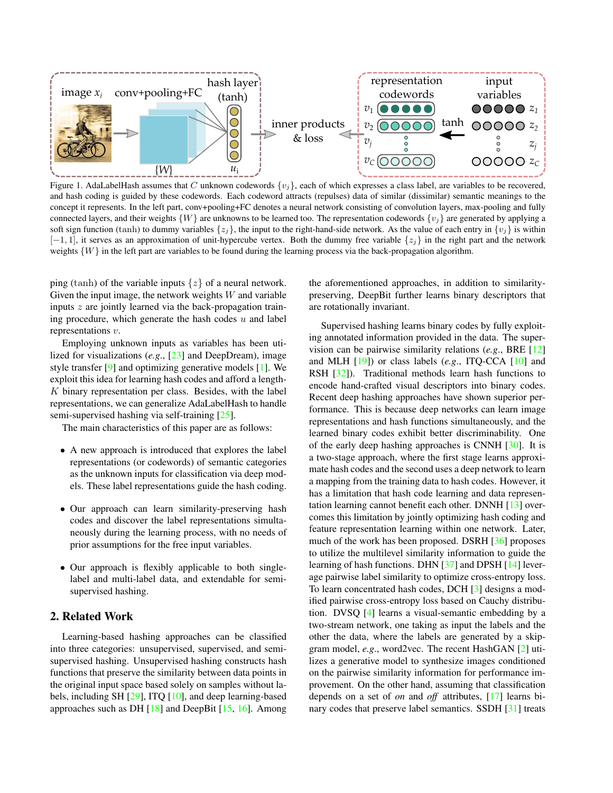

Figure 1. AdaLabelHash assumes that C unknown codewords  $\{v_j\}$ , each of which expresses a class label, are variables to be recovered, and hash coding is guided by these codewords. Each codeword attracts (repulses) data of similar (dissimilar) semantic meanings to the concept it represents. In the left part, conv+pooling+FC denotes a neural network consisting of convolution layers, max-pooling and fully connected layers, and their weights  $\{W\}$  are unknowns to be learned too. The representation codewords  $\{v_i\}$  are generated by applying a soft sign function (tanh) to dummy variables  $\{z_i\}$ , the input to the right-hand-side network. As the value of each entry in  $\{v_i\}$  is within  $[-1, 1]$ , it serves as an approximation of unit-hypercube vertex. Both the dummy free variable  $\{z_i\}$  in the right part and the network weights  $\{W\}$  in the left part are variables to be found during the learning process via the back-propagation algorithm.

ping (tanh) of the variable inputs  $\{z\}$  of a neural network. Given the input image, the network weights  $W$  and variable inputs  $z$  are jointly learned via the back-propagation training procedure, which generate the hash codes  $u$  and label representations v.

Employing unknown inputs as variables has been utilized for visualizations (*e.g*., [23] and DeepDream), image style transfer [9] and optimizing generative models [1]. We exploit this idea for learning hash codes and afford a length- $K$  binary representation per class. Besides, with the label representations, we can generalize AdaLabelHash to handle semi-supervised hashing via self-training [25].

The main characteristics of this paper are as follows:

- A new approach is introduced that explores the label representations (or codewords) of semantic categories as the unknown inputs for classification via deep models. These label representations guide the hash coding.
- Our approach can learn similarity-preserving hash codes and discover the label representations simultaneously during the learning process, with no needs of prior assumptions for the free input variables.
- Our approach is flexibly applicable to both singlelabel and multi-label data, and extendable for semisupervised hashing.

# 2. Related Work

Learning-based hashing approaches can be classified into three categories: unsupervised, supervised, and semisupervised hashing. Unsupervised hashing constructs hash functions that preserve the similarity between data points in the original input space based solely on samples without labels, including SH [29], ITQ [10], and deep learning-based approaches such as DH  $[18]$  and DeepBit  $[15, 16]$ . Among the aforementioned approaches, in addition to similaritypreserving, DeepBit further learns binary descriptors that are rotationally invariant.

Supervised hashing learns binary codes by fully exploiting annotated information provided in the data. The supervision can be pairwise similarity relations (*e.g*., BRE [12] and MLH [19]) or class labels (*e.g*., ITQ-CCA [10] and RSH [32]). Traditional methods learn hash functions to encode hand-crafted visual descriptors into binary codes. Recent deep hashing approaches have shown superior performance. This is because deep networks can learn image representations and hash functions simultaneously, and the learned binary codes exhibit better discriminability. One of the early deep hashing approaches is CNNH [30]. It is a two-stage approach, where the first stage learns approximate hash codes and the second uses a deep network to learn a mapping from the training data to hash codes. However, it has a limitation that hash code learning and data representation learning cannot benefit each other. DNNH [13] overcomes this limitation by jointly optimizing hash coding and feature representation learning within one network. Later, much of the work has been proposed. DSRH [36] proposes to utilize the multilevel similarity information to guide the learning of hash functions. DHN [37] and DPSH [14] leverage pairwise label similarity to optimize cross-entropy loss. To learn concentrated hash codes, DCH [3] designs a modified pairwise cross-entropy loss based on Cauchy distribution. DVSQ [4] learns a visual-semantic embedding by a two-stream network, one taking as input the labels and the other the data, where the labels are generated by a skipgram model, *e.g*., word2vec. The recent HashGAN [2] utilizes a generative model to synthesize images conditioned on the pairwise similarity information for performance improvement. On the other hand, assuming that classification depends on a set of *on* and *off* attributes, [17] learns binary codes that preserve label semantics. SSDH [31] treats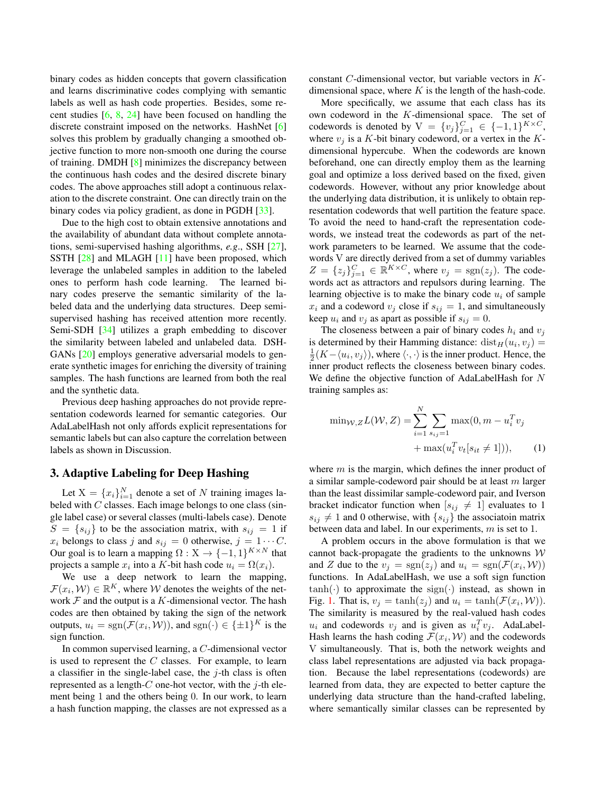binary codes as hidden concepts that govern classification and learns discriminative codes complying with semantic labels as well as hash code properties. Besides, some recent studies  $[6, 8, 24]$  have been focused on handling the discrete constraint imposed on the networks. HashNet [6] solves this problem by gradually changing a smoothed objective function to more non-smooth one during the course of training. DMDH [8] minimizes the discrepancy between the continuous hash codes and the desired discrete binary codes. The above approaches still adopt a continuous relaxation to the discrete constraint. One can directly train on the binary codes via policy gradient, as done in PGDH [33].

Due to the high cost to obtain extensive annotations and the availability of abundant data without complete annotations, semi-supervised hashing algorithms, *e.g*., SSH [27], SSTH [28] and MLAGH [11] have been proposed, which leverage the unlabeled samples in addition to the labeled ones to perform hash code learning. The learned binary codes preserve the semantic similarity of the labeled data and the underlying data structures. Deep semisupervised hashing has received attention more recently. Semi-SDH [34] utilizes a graph embedding to discover the similarity between labeled and unlabeled data. DSH-GANs [20] employs generative adversarial models to generate synthetic images for enriching the diversity of training samples. The hash functions are learned from both the real and the synthetic data.

Previous deep hashing approaches do not provide representation codewords learned for semantic categories. Our AdaLabelHash not only affords explicit representations for semantic labels but can also capture the correlation between labels as shown in Discussion.

## 3. Adaptive Labeling for Deep Hashing

Let  $X = \{x_i\}_{i=1}^N$  denote a set of N training images labeled with  $C$  classes. Each image belongs to one class (single label case) or several classes (multi-labels case). Denote  $S = \{s_{ij}\}\$ to be the association matrix, with  $s_{ij} = 1$  if  $x_i$  belongs to class j and  $s_{ij} = 0$  otherwise,  $j = 1 \cdots C$ . Our goal is to learn a mapping  $\Omega: X \to \{-1,1\}^{K \times N}$  that projects a sample  $x_i$  into a K-bit hash code  $u_i = \Omega(x_i)$ .

We use a deep network to learn the mapping,  $\mathcal{F}(x_i, \mathcal{W}) \in \mathbb{R}^K$ , where W denotes the weights of the network  $F$  and the output is a K-dimensional vector. The hash codes are then obtained by taking the sign of the network outputs,  $u_i = sgn(\mathcal{F}(x_i, \mathcal{W}))$ , and  $sgn(\cdot) \in {\{\pm 1\}}^K$  is the sign function.

In common supervised learning, a C-dimensional vector is used to represent the  $C$  classes. For example, to learn a classifier in the single-label case, the  $j$ -th class is often represented as a length- $C$  one-hot vector, with the  $j$ -th element being 1 and the others being 0. In our work, to learn a hash function mapping, the classes are not expressed as a

constant C-dimensional vector, but variable vectors in Kdimensional space, where  $K$  is the length of the hash-code.

More specifically, we assume that each class has its own codeword in the K-dimensional space. The set of codewords is denoted by  $V = \{v_j\}_{j=1}^C \in \{-1,1\}^{K \times C}$ , where  $v_j$  is a K-bit binary codeword, or a vertex in the Kdimensional hypercube. When the codewords are known beforehand, one can directly employ them as the learning goal and optimize a loss derived based on the fixed, given codewords. However, without any prior knowledge about the underlying data distribution, it is unlikely to obtain representation codewords that well partition the feature space. To avoid the need to hand-craft the representation codewords, we instead treat the codewords as part of the network parameters to be learned. We assume that the codewords V are directly derived from a set of dummy variables  $Z = \{z_j\}_{j=1}^C \in \mathbb{R}^{K \times C}$ , where  $v_j = \text{sgn}(z_j)$ . The codewords act as attractors and repulsors during learning. The learning objective is to make the binary code  $u_i$  of sample  $x_i$  and a codeword  $v_j$  close if  $s_{ij} = 1$ , and simultaneously keep  $u_i$  and  $v_j$  as apart as possible if  $s_{ij} = 0$ .

The closeness between a pair of binary codes  $h_i$  and  $v_j$ is determined by their Hamming distance:  $dist_H(u_i, v_j) =$  $\frac{1}{2}(K-\langle u_i, v_j \rangle)$ , where  $\langle \cdot, \cdot \rangle$  is the inner product. Hence, the inner product reflects the closeness between binary codes. We define the objective function of AdaLabelHash for N training samples as:

$$
\min_{\mathcal{W}, Z} L(\mathcal{W}, Z) = \sum_{i=1}^{N} \sum_{s_{ij}=1} \max(0, m - u_i^T v_j + \max(u_i^T v_i [s_{it} \neq 1])),
$$
 (1)

where  $m$  is the margin, which defines the inner product of a similar sample-codeword pair should be at least  $m$  larger than the least dissimilar sample-codeword pair, and Iverson bracket indicator function when  $[s_{ij} \neq 1]$  evaluates to 1  $s_{ij} \neq 1$  and 0 otherwise, with  $\{s_{ij}\}\$ the associatoin matrix between data and label. In our experiments, m is set to 1.

A problem occurs in the above formulation is that we cannot back-propagate the gradients to the unknowns  $W$ and Z due to the  $v_j = \text{sgn}(z_j)$  and  $u_i = \text{sgn}(\mathcal{F}(x_i, \mathcal{W}))$ functions. In AdaLabelHash, we use a soft sign function  $tanh(\cdot)$  to approximate the sign( $\cdot$ ) instead, as shown in Fig. 1. That is,  $v_j = \tanh(z_j)$  and  $u_i = \tanh(\mathcal{F}(x_i, \mathcal{W}))$ . The similarity is measured by the real-valued hash codes  $u_i$  and codewords  $v_j$  and is given as  $u_i^T v_j$ . AdaLabel-Hash learns the hash coding  $\mathcal{F}(x_i, \mathcal{W})$  and the codewords V simultaneously. That is, both the network weights and class label representations are adjusted via back propagation. Because the label representations (codewords) are learned from data, they are expected to better capture the underlying data structure than the hand-crafted labeling, where semantically similar classes can be represented by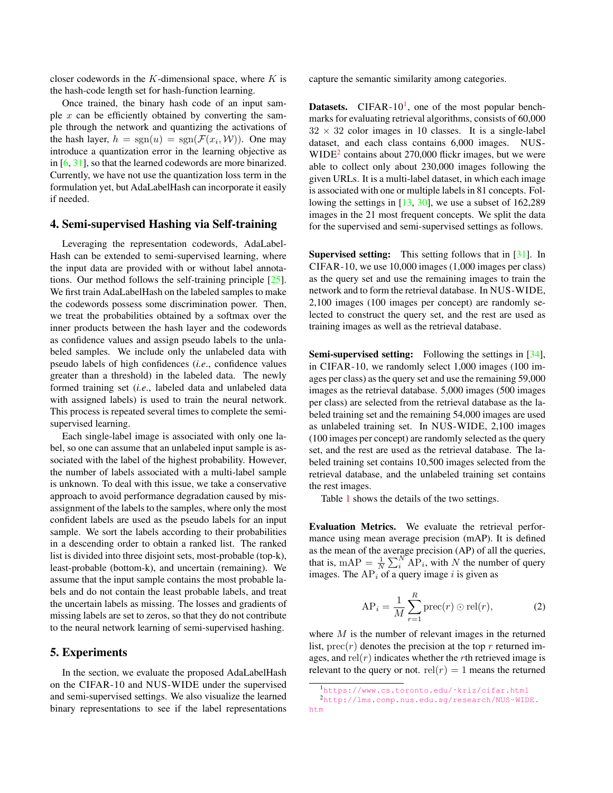closer codewords in the K-dimensional space, where  $K$  is the hash-code length set for hash-function learning.

Once trained, the binary hash code of an input sample  $x$  can be efficiently obtained by converting the sample through the network and quantizing the activations of the hash layer,  $h = \text{sgn}(u) = \text{sgn}(\mathcal{F}(x_i, \mathcal{W}))$ . One may introduce a quantization error in the learning objective as in [6, 31], so that the learned codewords are more binarized. Currently, we have not use the quantization loss term in the formulation yet, but AdaLabelHash can incorporate it easily if needed.

#### 4. Semi-supervised Hashing via Self-training

Leveraging the representation codewords, AdaLabel-Hash can be extended to semi-supervised learning, where the input data are provided with or without label annotations. Our method follows the self-training principle [25]. We first train AdaLabelHash on the labeled samples to make the codewords possess some discrimination power. Then, we treat the probabilities obtained by a softmax over the inner products between the hash layer and the codewords as confidence values and assign pseudo labels to the unlabeled samples. We include only the unlabeled data with pseudo labels of high confidences (*i.e*., confidence values greater than a threshold) in the labeled data. The newly formed training set (*i.e*., labeled data and unlabeled data with assigned labels) is used to train the neural network. This process is repeated several times to complete the semisupervised learning.

Each single-label image is associated with only one label, so one can assume that an unlabeled input sample is associated with the label of the highest probability. However, the number of labels associated with a multi-label sample is unknown. To deal with this issue, we take a conservative approach to avoid performance degradation caused by misassignment of the labels to the samples, where only the most confident labels are used as the pseudo labels for an input sample. We sort the labels according to their probabilities in a descending order to obtain a ranked list. The ranked list is divided into three disjoint sets, most-probable (top-k), least-probable (bottom-k), and uncertain (remaining). We assume that the input sample contains the most probable labels and do not contain the least probable labels, and treat the uncertain labels as missing. The losses and gradients of missing labels are set to zeros, so that they do not contribute to the neural network learning of semi-supervised hashing.

#### 5. Experiments

In the section, we evaluate the proposed AdaLabelHash on the CIFAR-10 and NUS-WIDE under the supervised and semi-supervised settings. We also visualize the learned binary representations to see if the label representations

capture the semantic similarity among categories.

**Datasets.** CIFAR-10<sup>1</sup>, one of the most popular benchmarks for evaluating retrieval algorithms, consists of 60,000  $32 \times 32$  color images in 10 classes. It is a single-label dataset, and each class contains 6,000 images. NUS- $WIDE<sup>2</sup>$  contains about 270,000 flickr images, but we were able to collect only about 230,000 images following the given URLs. It is a multi-label dataset, in which each image is associated with one or multiple labels in 81 concepts. Following the settings in [13, 30], we use a subset of 162,289 images in the 21 most frequent concepts. We split the data for the supervised and semi-supervised settings as follows.

Supervised setting: This setting follows that in [31]. In CIFAR-10, we use 10,000 images (1,000 images per class) as the query set and use the remaining images to train the network and to form the retrieval database. In NUS-WIDE, 2,100 images (100 images per concept) are randomly selected to construct the query set, and the rest are used as training images as well as the retrieval database.

Semi-supervised setting: Following the settings in [34], in CIFAR-10, we randomly select 1,000 images (100 images per class) as the query set and use the remaining 59,000 images as the retrieval database. 5,000 images (500 images per class) are selected from the retrieval database as the labeled training set and the remaining 54,000 images are used as unlabeled training set. In NUS-WIDE, 2,100 images (100 images per concept) are randomly selected as the query set, and the rest are used as the retrieval database. The labeled training set contains 10,500 images selected from the retrieval database, and the unlabeled training set contains the rest images.

Table 1 shows the details of the two settings.

Evaluation Metrics. We evaluate the retrieval performance using mean average precision (mAP). It is defined as the mean of the average precision (AP) of all the queries, that is, mAP =  $\frac{1}{N} \sum_{i=1}^{N} AP_i$ , with N the number of query images. The  $AP<sub>i</sub>$  of a query image i is given as

$$
AP_i = \frac{1}{M} \sum_{r=1}^{R} \text{prec}(r) \odot \text{rel}(r),\tag{2}
$$

where  $M$  is the number of relevant images in the returned list,  $prec(r)$  denotes the precision at the top r returned images, and  $rel(r)$  indicates whether the rth retrieved image is relevant to the query or not.  $rel(r) = 1$  means the returned

<sup>1</sup>https://www.cs.toronto.edu/˜kriz/cifar.html

<sup>2</sup>http://lms.comp.nus.edu.sg/research/NUS-WIDE. htm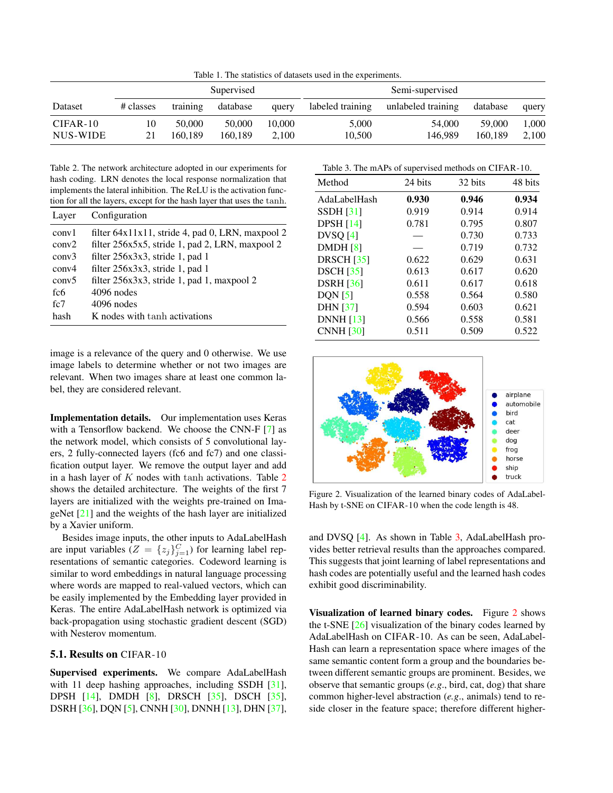Table 1. The statistics of datasets used in the experiments.

|            | Supervised |          |          | Semi-supervised |                  |                    |          |       |
|------------|------------|----------|----------|-----------------|------------------|--------------------|----------|-------|
| Dataset    | # classes  | training | database | query           | labeled training | unlabeled training | database | query |
| $CIFAR-10$ | 10         | 50,000   | 50,000   | 10,000          | 5.000            | 54,000             | 59,000   | 1,000 |
| NUS-WIDE   | 21         | 160.189  | 160.189  | 2.100           | 10.500           | 146.989            | 160.189  | 2,100 |

Table 2. The network architecture adopted in our experiments for hash coding. LRN denotes the local response normalization that implements the lateral inhibition. The ReLU is the activation function for all the layers, except for the hash layer that uses the tanh.

| Layer             | Configuration                                       |
|-------------------|-----------------------------------------------------|
| conv1             | filter $64x11x11$ , stride 4, pad 0, LRN, maxpool 2 |
| conv2             | filter 256x5x5, stride 1, pad 2, LRN, maxpool 2     |
| conv3             | filter 256x3x3, stride 1, pad 1                     |
| conv4             | filter 256x3x3, stride 1, pad 1                     |
| conv <sub>5</sub> | filter 256x3x3, stride 1, pad 1, maxpool 2          |
| fc6               | $4096$ nodes                                        |
| fc7               | $4096$ nodes                                        |
| hash              | K nodes with tanh activations                       |

image is a relevance of the query and 0 otherwise. We use image labels to determine whether or not two images are relevant. When two images share at least one common label, they are considered relevant.

Implementation details. Our implementation uses Keras with a Tensorflow backend. We choose the CNN-F [7] as the network model, which consists of 5 convolutional layers, 2 fully-connected layers (fc6 and fc7) and one classification output layer. We remove the output layer and add in a hash layer of  $K$  nodes with tanh activations. Table  $2$ shows the detailed architecture. The weights of the first 7 layers are initialized with the weights pre-trained on ImageNet [21] and the weights of the hash layer are initialized by a Xavier uniform.

Besides image inputs, the other inputs to AdaLabelHash are input variables  $(Z = \{z_j\}_{j=1}^C)$  for learning label representations of semantic categories. Codeword learning is similar to word embeddings in natural language processing where words are mapped to real-valued vectors, which can be easily implemented by the Embedding layer provided in Keras. The entire AdaLabelHash network is optimized via back-propagation using stochastic gradient descent (SGD) with Nesterov momentum.

#### 5.1. Results on CIFAR-10

Supervised experiments. We compare AdaLabelHash with 11 deep hashing approaches, including SSDH [31], DPSH [14], DMDH [8], DRSCH [35], DSCH [35], DSRH [36], DQN [5], CNNH [30], DNNH [13], DHN [37], Table 3. The mAPs of supervised methods on CIFAR-10.

| Method            | 24 bits | 32 bits | 48 bits |
|-------------------|---------|---------|---------|
| AdaLabelHash      | 0.930   | 0.946   | 0.934   |
| SSDH[31]          | 0.919   | 0.914   | 0.914   |
| DPSH $[14]$       | 0.781   | 0.795   | 0.807   |
| DVSQ[4]           |         | 0.730   | 0.733   |
| DMDH[8]           |         | 0.719   | 0.732   |
| <b>DRSCH [35]</b> | 0.622   | 0.629   | 0.631   |
| <b>DSCH</b> [35]  | 0.613   | 0.617   | 0.620   |
| <b>DSRH</b> [36]  | 0.611   | 0.617   | 0.618   |
| DQN [5]           | 0.558   | 0.564   | 0.580   |
| <b>DHN</b> [37]   | 0.594   | 0.603   | 0.621   |
| <b>DNNH</b> [13]  | 0.566   | 0.558   | 0.581   |
| <b>CNNH</b> [30]  | 0.511   | 0.509   | 0.522   |
|                   |         |         |         |



Figure 2. Visualization of the learned binary codes of AdaLabel-Hash by t-SNE on CIFAR-10 when the code length is 48.

and DVSQ [4]. As shown in Table 3, AdaLabelHash provides better retrieval results than the approaches compared. This suggests that joint learning of label representations and hash codes are potentially useful and the learned hash codes exhibit good discriminability.

Visualization of learned binary codes. Figure 2 shows the t-SNE [26] visualization of the binary codes learned by AdaLabelHash on CIFAR-10. As can be seen, AdaLabel-Hash can learn a representation space where images of the same semantic content form a group and the boundaries between different semantic groups are prominent. Besides, we observe that semantic groups (*e.g*., bird, cat, dog) that share common higher-level abstraction (*e.g*., animals) tend to reside closer in the feature space; therefore different higher-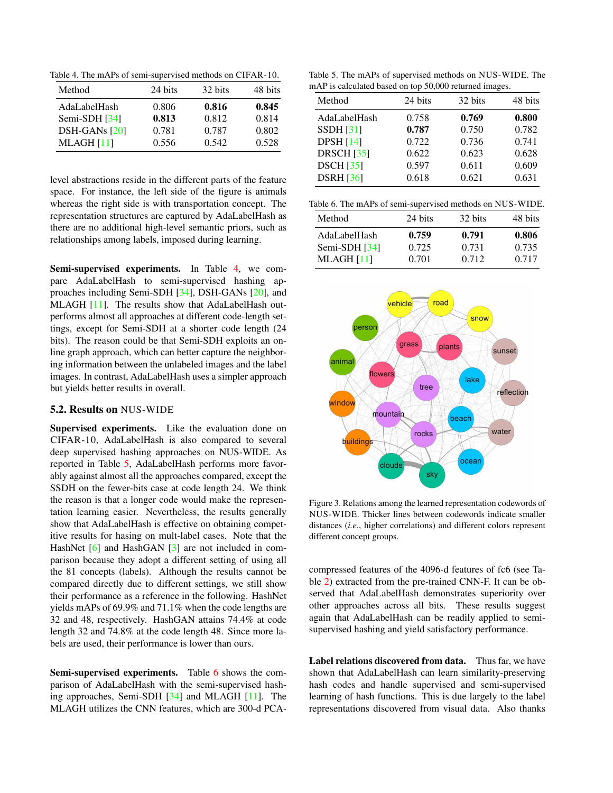Table 4. The mAPs of semi-supervised methods on CIFAR-10.

| Method          | 24 bits | 32 bits | 48 bits |
|-----------------|---------|---------|---------|
| AdaLabelHash    | 0.806   | 0.816   | 0.845   |
| Semi-SDH $[34]$ | 0.813   | 0.812   | 0.814   |
| DSH-GANs [20]   | 0.781   | 0.787   | 0.802   |
| MLAGH [11]      | 0.556   | 0.542   | 0.528   |

level abstractions reside in the different parts of the feature space. For instance, the left side of the figure is animals whereas the right side is with transportation concept. The representation structures are captured by AdaLabelHash as there are no additional high-level semantic priors, such as relationships among labels, imposed during learning.

Semi-supervised experiments. In Table 4, we compare AdaLabelHash to semi-supervised hashing approaches including Semi-SDH [34], DSH-GANs [20], and MLAGH [11]. The results show that AdaLabelHash outperforms almost all approaches at different code-length settings, except for Semi-SDH at a shorter code length (24 bits). The reason could be that Semi-SDH exploits an online graph approach, which can better capture the neighboring information between the unlabeled images and the label images. In contrast, AdaLabelHash uses a simpler approach but yields better results in overall.

#### 5.2. Results on NUS-WIDE

Supervised experiments. Like the evaluation done on CIFAR-10, AdaLabelHash is also compared to several deep supervised hashing approaches on NUS-WIDE. As reported in Table 5, AdaLabelHash performs more favorably against almost all the approaches compared, except the SSDH on the fewer-bits case at code length 24. We think the reason is that a longer code would make the representation learning easier. Nevertheless, the results generally show that AdaLabelHash is effective on obtaining competitive results for hasing on mult-label cases. Note that the HashNet [6] and HashGAN [3] are not included in comparison because they adopt a different setting of using all the 81 concepts (labels). Although the results cannot be compared directly due to different settings, we still show their performance as a reference in the following. HashNet yields mAPs of 69.9% and 71.1% when the code lengths are 32 and 48, respectively. HashGAN attains 74.4% at code length 32 and 74.8% at the code length 48. Since more labels are used, their performance is lower than ours.

Semi-supervised experiments. Table 6 shows the comparison of AdaLabelHash with the semi-supervised hashing approaches, Semi-SDH [34] and MLAGH [11]. The MLAGH utilizes the CNN features, which are 300-d PCA-

Table 5. The mAPs of supervised methods on NUS-WIDE. The mAP is calculated based on top 50,000 returned images.

| Method            | 24 bits | 32 bits | 48 bits |
|-------------------|---------|---------|---------|
| AdaLabelHash      | 0.758   | 0.769   | 0.800   |
| <b>SSDH</b> [31]  | 0.787   | 0.750   | 0.782   |
| <b>DPSH</b> [14]  | 0.722   | 0.736   | 0.741   |
| <b>DRSCH</b> [35] | 0.622   | 0.623   | 0.628   |
| <b>DSCH</b> [35]  | 0.597   | 0.611   | 0.609   |
| <b>DSRH</b> [36]  | 0.618   | 0.621   | 0.631   |

| Table 6. The mAPs of semi-supervised methods on NUS-WIDE. |  |
|-----------------------------------------------------------|--|
|-----------------------------------------------------------|--|

| Method          | 24 bits | 32 bits | 48 bits |
|-----------------|---------|---------|---------|
| AdaLabelHash    | 0.759   | 0.791   | 0.806   |
| Semi-SDH $[34]$ | 0.725   | 0.731   | 0.735   |
| $MLAGH$ [11]    | 0.701   | 0.712   | 0.717   |



Figure 3. Relations among the learned representation codewords of NUS-WIDE. Thicker lines between codewords indicate smaller distances (*i.e*., higher correlations) and different colors represent different concept groups.

compressed features of the 4096-d features of fc6 (see Table 2) extracted from the pre-trained CNN-F. It can be observed that AdaLabelHash demonstrates superiority over other approaches across all bits. These results suggest again that AdaLabelHash can be readily applied to semisupervised hashing and yield satisfactory performance.

Label relations discovered from data. Thus far, we have shown that AdaLabelHash can learn similarity-preserving hash codes and handle supervised and semi-supervised learning of hash functions. This is due largely to the label representations discovered from visual data. Also thanks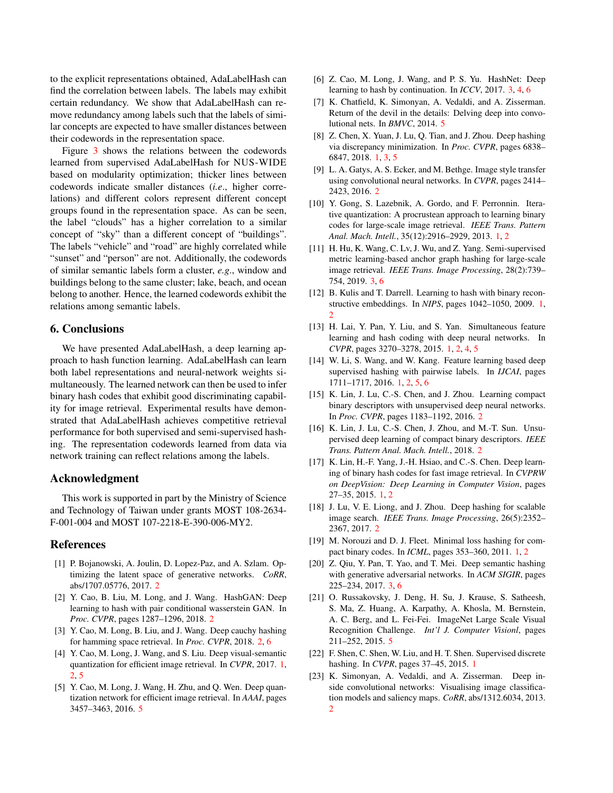to the explicit representations obtained, AdaLabelHash can find the correlation between labels. The labels may exhibit certain redundancy. We show that AdaLabelHash can remove redundancy among labels such that the labels of similar concepts are expected to have smaller distances between their codewords in the representation space.

Figure 3 shows the relations between the codewords learned from supervised AdaLabelHash for NUS-WIDE based on modularity optimization; thicker lines between codewords indicate smaller distances (*i.e*., higher correlations) and different colors represent different concept groups found in the representation space. As can be seen, the label "clouds" has a higher correlation to a similar concept of "sky" than a different concept of "buildings". The labels "vehicle" and "road" are highly correlated while "sunset" and "person" are not. Additionally, the codewords of similar semantic labels form a cluster, *e.g*., window and buildings belong to the same cluster; lake, beach, and ocean belong to another. Hence, the learned codewords exhibit the relations among semantic labels.

### 6. Conclusions

We have presented AdaLabelHash, a deep learning approach to hash function learning. AdaLabelHash can learn both label representations and neural-network weights simultaneously. The learned network can then be used to infer binary hash codes that exhibit good discriminating capability for image retrieval. Experimental results have demonstrated that AdaLabelHash achieves competitive retrieval performance for both supervised and semi-supervised hashing. The representation codewords learned from data via network training can reflect relations among the labels.

### Acknowledgment

This work is supported in part by the Ministry of Science and Technology of Taiwan under grants MOST 108-2634- F-001-004 and MOST 107-2218-E-390-006-MY2.

### References

- [1] P. Bojanowski, A. Joulin, D. Lopez-Paz, and A. Szlam. Optimizing the latent space of generative networks. *CoRR*, abs/1707.05776, 2017. 2
- [2] Y. Cao, B. Liu, M. Long, and J. Wang. HashGAN: Deep learning to hash with pair conditional wasserstein GAN. In *Proc. CVPR*, pages 1287–1296, 2018. 2
- [3] Y. Cao, M. Long, B. Liu, and J. Wang. Deep cauchy hashing for hamming space retrieval. In *Proc. CVPR*, 2018. 2, 6
- [4] Y. Cao, M. Long, J. Wang, and S. Liu. Deep visual-semantic quantization for efficient image retrieval. In *CVPR*, 2017. 1, 2, 5
- [5] Y. Cao, M. Long, J. Wang, H. Zhu, and Q. Wen. Deep quantization network for efficient image retrieval. In *AAAI*, pages 3457–3463, 2016. 5
- [6] Z. Cao, M. Long, J. Wang, and P. S. Yu. HashNet: Deep learning to hash by continuation. In *ICCV*, 2017. 3, 4, 6
- [7] K. Chatfield, K. Simonyan, A. Vedaldi, and A. Zisserman. Return of the devil in the details: Delving deep into convolutional nets. In *BMVC*, 2014. 5
- [8] Z. Chen, X. Yuan, J. Lu, Q. Tian, and J. Zhou. Deep hashing via discrepancy minimization. In *Proc. CVPR*, pages 6838– 6847, 2018. 1, 3, 5
- [9] L. A. Gatys, A. S. Ecker, and M. Bethge. Image style transfer using convolutional neural networks. In *CVPR*, pages 2414– 2423, 2016. 2
- [10] Y. Gong, S. Lazebnik, A. Gordo, and F. Perronnin. Iterative quantization: A procrustean approach to learning binary codes for large-scale image retrieval. *IEEE Trans. Pattern Anal. Mach. Intell.*, 35(12):2916–2929, 2013. 1, 2
- [11] H. Hu, K. Wang, C. Lv, J. Wu, and Z. Yang. Semi-supervised metric learning-based anchor graph hashing for large-scale image retrieval. *IEEE Trans. Image Processing*, 28(2):739– 754, 2019. 3, 6
- [12] B. Kulis and T. Darrell. Learning to hash with binary reconstructive embeddings. In *NIPS*, pages 1042–1050, 2009. 1, 2
- [13] H. Lai, Y. Pan, Y. Liu, and S. Yan. Simultaneous feature learning and hash coding with deep neural networks. In *CVPR*, pages 3270–3278, 2015. 1, 2, 4, 5
- [14] W. Li, S. Wang, and W. Kang. Feature learning based deep supervised hashing with pairwise labels. In *IJCAI*, pages 1711–1717, 2016. 1, 2, 5, 6
- [15] K. Lin, J. Lu, C.-S. Chen, and J. Zhou. Learning compact binary descriptors with unsupervised deep neural networks. In *Proc. CVPR*, pages 1183–1192, 2016. 2
- [16] K. Lin, J. Lu, C.-S. Chen, J. Zhou, and M.-T. Sun. Unsupervised deep learning of compact binary descriptors. *IEEE Trans. Pattern Anal. Mach. Intell.*, 2018. 2
- [17] K. Lin, H.-F. Yang, J.-H. Hsiao, and C.-S. Chen. Deep learning of binary hash codes for fast image retrieval. In *CVPRW on DeepVision: Deep Learning in Computer Vision*, pages 27–35, 2015. 1, 2
- [18] J. Lu, V. E. Liong, and J. Zhou. Deep hashing for scalable image search. *IEEE Trans. Image Processing*, 26(5):2352– 2367, 2017. 2
- [19] M. Norouzi and D. J. Fleet. Minimal loss hashing for compact binary codes. In *ICML*, pages 353–360, 2011. 1, 2
- [20] Z. Qiu, Y. Pan, T. Yao, and T. Mei. Deep semantic hashing with generative adversarial networks. In *ACM SIGIR*, pages 225–234, 2017. 3, 6
- [21] O. Russakovsky, J. Deng, H. Su, J. Krause, S. Satheesh, S. Ma, Z. Huang, A. Karpathy, A. Khosla, M. Bernstein, A. C. Berg, and L. Fei-Fei. ImageNet Large Scale Visual Recognition Challenge. *Int'l J. Computer Visionl*, pages 211–252, 2015. 5
- [22] F. Shen, C. Shen, W. Liu, and H. T. Shen. Supervised discrete hashing. In *CVPR*, pages 37–45, 2015. 1
- [23] K. Simonyan, A. Vedaldi, and A. Zisserman. Deep inside convolutional networks: Visualising image classification models and saliency maps. *CoRR*, abs/1312.6034, 2013.  $\overline{2}$